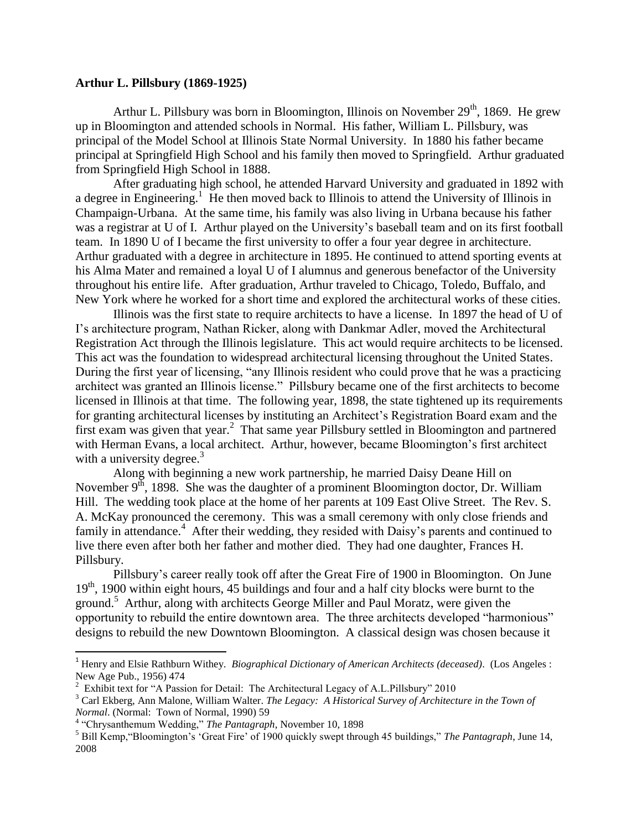## **Arthur L. Pillsbury (1869-1925)**

Arthur L. Pillsbury was born in Bloomington, Illinois on November  $29<sup>th</sup>$ , 1869. He grew up in Bloomington and attended schools in Normal. His father, William L. Pillsbury, was principal of the Model School at Illinois State Normal University. In 1880 his father became principal at Springfield High School and his family then moved to Springfield. Arthur graduated from Springfield High School in 1888.

After graduating high school, he attended Harvard University and graduated in 1892 with a degree in Engineering.<sup>1</sup> He then moved back to Illinois to attend the University of Illinois in Champaign-Urbana. At the same time, his family was also living in Urbana because his father was a registrar at U of I. Arthur played on the University's baseball team and on its first football team. In 1890 U of I became the first university to offer a four year degree in architecture. Arthur graduated with a degree in architecture in 1895. He continued to attend sporting events at his Alma Mater and remained a loyal U of I alumnus and generous benefactor of the University throughout his entire life. After graduation, Arthur traveled to Chicago, Toledo, Buffalo, and New York where he worked for a short time and explored the architectural works of these cities.

Illinois was the first state to require architects to have a license. In 1897 the head of U of I's architecture program, Nathan Ricker, along with Dankmar Adler, moved the Architectural Registration Act through the Illinois legislature. This act would require architects to be licensed. This act was the foundation to widespread architectural licensing throughout the United States. During the first year of licensing, "any Illinois resident who could prove that he was a practicing architect was granted an Illinois license." Pillsbury became one of the first architects to become licensed in Illinois at that time. The following year, 1898, the state tightened up its requirements for granting architectural licenses by instituting an Architect's Registration Board exam and the first exam was given that year.<sup>2</sup> That same year Pillsbury settled in Bloomington and partnered with Herman Evans, a local architect. Arthur, however, became Bloomington's first architect with a university degree.<sup>3</sup>

Along with beginning a new work partnership, he married Daisy Deane Hill on November  $9<sup>th</sup>$ , 1898. She was the daughter of a prominent Bloomington doctor, Dr. William Hill. The wedding took place at the home of her parents at 109 East Olive Street. The Rev. S. A. McKay pronounced the ceremony. This was a small ceremony with only close friends and family in attendance.<sup>4</sup> After their wedding, they resided with Daisy's parents and continued to live there even after both her father and mother died. They had one daughter, Frances H. Pillsbury.

Pillsbury's career really took off after the Great Fire of 1900 in Bloomington. On June  $19<sup>th</sup>$ , 1900 within eight hours, 45 buildings and four and a half city blocks were burnt to the ground.<sup>5</sup> Arthur, along with architects George Miller and Paul Moratz, were given the opportunity to rebuild the entire downtown area. The three architects developed "harmonious" designs to rebuild the new Downtown Bloomington. A classical design was chosen because it

l

<sup>&</sup>lt;sup>1</sup> Henry and Elsie Rathburn Withey. *Biographical Dictionary of American Architects (deceased)*. (Los Angeles : New Age Pub., 1956) 474

 $2$  Exhibit text for "A Passion for Detail: The Architectural Legacy of A.L.Pillsbury" 2010

<sup>3</sup> Carl Ekberg, Ann Malone, William Walter. *The Legacy: A Historical Survey of Architecture in the Town of Normal*. (Normal: Town of Normal, 1990) 59

<sup>4</sup> "Chrysanthemum Wedding," *The Pantagraph*, November 10, 1898

<sup>5</sup> Bill Kemp,"Bloomington's 'Great Fire' of 1900 quickly swept through 45 buildings," *The Pantagraph*, June 14, 2008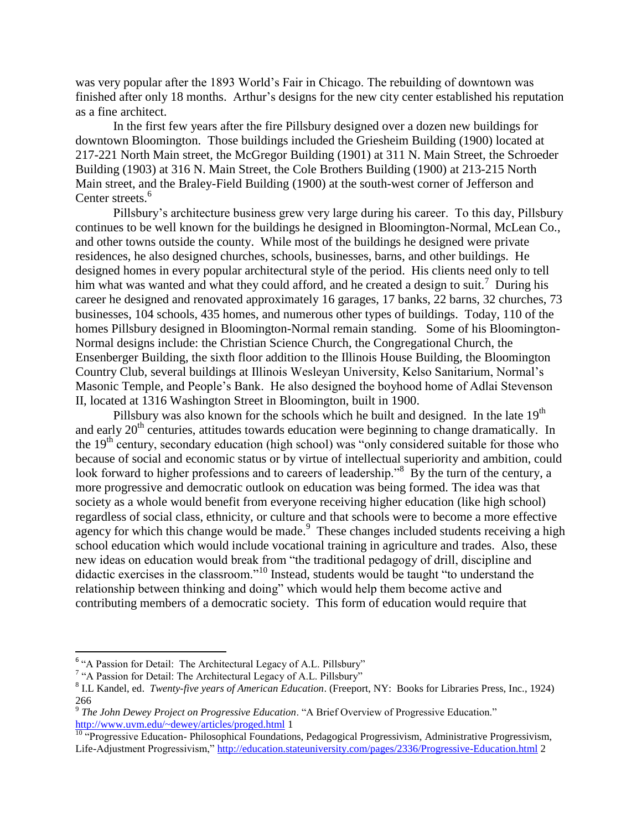was very popular after the 1893 World's Fair in Chicago. The rebuilding of downtown was finished after only 18 months. Arthur's designs for the new city center established his reputation as a fine architect.

In the first few years after the fire Pillsbury designed over a dozen new buildings for downtown Bloomington. Those buildings included the Griesheim Building (1900) located at 217-221 North Main street, the McGregor Building (1901) at 311 N. Main Street, the Schroeder Building (1903) at 316 N. Main Street, the Cole Brothers Building (1900) at 213-215 North Main street, and the Braley-Field Building (1900) at the south-west corner of Jefferson and Center streets.<sup>6</sup>

Pillsbury's architecture business grew very large during his career. To this day, Pillsbury continues to be well known for the buildings he designed in Bloomington-Normal, McLean Co., and other towns outside the county. While most of the buildings he designed were private residences, he also designed churches, schools, businesses, barns, and other buildings. He designed homes in every popular architectural style of the period. His clients need only to tell him what was wanted and what they could afford, and he created a design to suit.<sup>7</sup> During his career he designed and renovated approximately 16 garages, 17 banks, 22 barns, 32 churches, 73 businesses, 104 schools, 435 homes, and numerous other types of buildings. Today, 110 of the homes Pillsbury designed in Bloomington-Normal remain standing. Some of his Bloomington-Normal designs include: the Christian Science Church, the Congregational Church, the Ensenberger Building, the sixth floor addition to the Illinois House Building, the Bloomington Country Club, several buildings at Illinois Wesleyan University, Kelso Sanitarium, Normal's Masonic Temple, and People's Bank. He also designed the boyhood home of Adlai Stevenson II, located at 1316 Washington Street in Bloomington, built in 1900.

Pillsbury was also known for the schools which he built and designed. In the late 19<sup>th</sup> and early  $20<sup>th</sup>$  centuries, attitudes towards education were beginning to change dramatically. In the 19<sup>th</sup> century, secondary education (high school) was "only considered suitable for those who because of social and economic status or by virtue of intellectual superiority and ambition, could look forward to higher professions and to careers of leadership."<sup>8</sup> By the turn of the century, a more progressive and democratic outlook on education was being formed. The idea was that society as a whole would benefit from everyone receiving higher education (like high school) regardless of social class, ethnicity, or culture and that schools were to become a more effective agency for which this change would be made.<sup>9</sup> These changes included students receiving a high school education which would include vocational training in agriculture and trades. Also, these new ideas on education would break from "the traditional pedagogy of drill, discipline and didactic exercises in the classroom."<sup>10</sup> Instead, students would be taught "to understand the relationship between thinking and doing" which would help them become active and contributing members of a democratic society. This form of education would require that

<sup>&</sup>lt;sup>6</sup> "A Passion for Detail: The Architectural Legacy of A.L. Pillsbury"

<sup>&</sup>lt;sup>7</sup> "A Passion for Detail: The Architectural Legacy of A.L. Pillsbury"

<sup>8</sup> I.L Kandel, ed. *Twenty-five years of American Education*. (Freeport, NY: Books for Libraries Press, Inc., 1924) 266

<sup>9</sup> *The John Dewey Project on Progressive Education*. "A Brief Overview of Progressive Education." <http://www.uvm.edu/~dewey/articles/proged.html> 1

<sup>&</sup>lt;sup>10</sup> "Progressive Education- Philosophical Foundations, Pedagogical Progressivism, Administrative Progressivism, Life-Adjustment Progressivism,"<http://education.stateuniversity.com/pages/2336/Progressive-Education.html> 2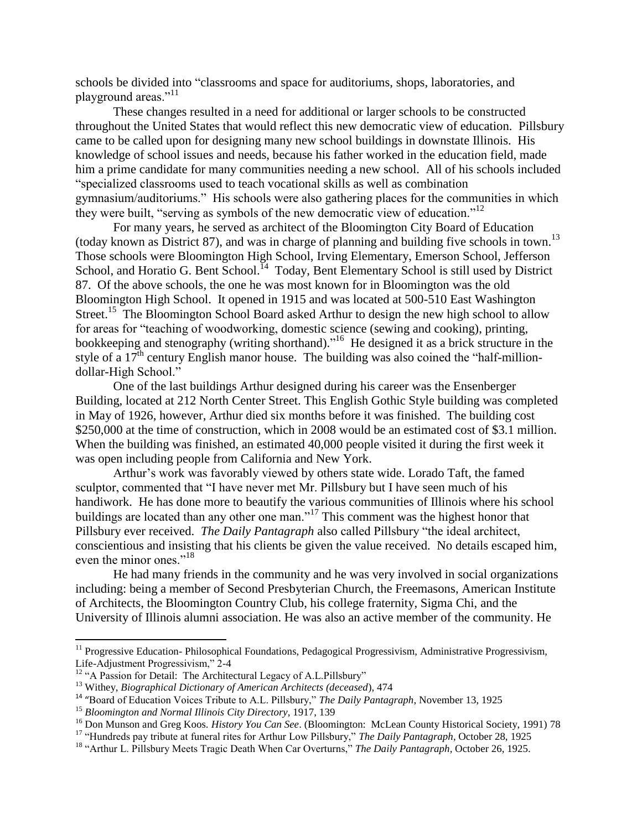schools be divided into "classrooms and space for auditoriums, shops, laboratories, and playground areas."<sup>11</sup>

These changes resulted in a need for additional or larger schools to be constructed throughout the United States that would reflect this new democratic view of education. Pillsbury came to be called upon for designing many new school buildings in downstate Illinois. His knowledge of school issues and needs, because his father worked in the education field, made him a prime candidate for many communities needing a new school. All of his schools included "specialized classrooms used to teach vocational skills as well as combination gymnasium/auditoriums." His schools were also gathering places for the communities in which they were built, "serving as symbols of the new democratic view of education."<sup>12</sup>

For many years, he served as architect of the Bloomington City Board of Education (today known as District 87), and was in charge of planning and building five schools in town.<sup>13</sup> Those schools were Bloomington High School, Irving Elementary, Emerson School, Jefferson School, and Horatio G. Bent School.<sup>14</sup> Today, Bent Elementary School is still used by District 87. Of the above schools, the one he was most known for in Bloomington was the old Bloomington High School. It opened in 1915 and was located at 500-510 East Washington Street.<sup>15</sup> The Bloomington School Board asked Arthur to design the new high school to allow for areas for "teaching of woodworking, domestic science (sewing and cooking), printing, bookkeeping and stenography (writing shorthand)."<sup>16</sup> He designed it as a brick structure in the style of a  $17<sup>th</sup>$  century English manor house. The building was also coined the "half-milliondollar-High School."

One of the last buildings Arthur designed during his career was the Ensenberger Building, located at 212 North Center Street. This English Gothic Style building was completed in May of 1926, however, Arthur died six months before it was finished. The building cost \$250,000 at the time of construction, which in 2008 would be an estimated cost of \$3.1 million. When the building was finished, an estimated 40,000 people visited it during the first week it was open including people from California and New York.

Arthur's work was favorably viewed by others state wide. Lorado Taft, the famed sculptor, commented that "I have never met Mr. Pillsbury but I have seen much of his handiwork. He has done more to beautify the various communities of Illinois where his school buildings are located than any other one man."<sup>17</sup> This comment was the highest honor that Pillsbury ever received. *The Daily Pantagraph* also called Pillsbury "the ideal architect, conscientious and insisting that his clients be given the value received. No details escaped him, even the minor ones."<sup>18</sup>

He had many friends in the community and he was very involved in social organizations including: being a member of Second Presbyterian Church, the Freemasons, American Institute of Architects, the Bloomington Country Club, his college fraternity, Sigma Chi, and the University of Illinois alumni association. He was also an active member of the community. He

 $\overline{\phantom{a}}$ 

 $11$  Progressive Education- Philosophical Foundations, Pedagogical Progressivism, Administrative Progressivism, Life-Adjustment Progressivism," 2-4

<sup>&</sup>lt;sup>12</sup> "A Passion for Detail: The Architectural Legacy of A.L.Pillsbury"

<sup>13</sup> Withey, *Biographical Dictionary of American Architects (deceased*), 474

<sup>14</sup> "Board of Education Voices Tribute to A.L. Pillsbury," *The Daily Pantagraph*, November 13, 1925

<sup>15</sup> *Bloomington and Normal Illinois City Directory*, 1917, 139

<sup>16</sup> Don Munson and Greg Koos. *History You Can See*. (Bloomington: McLean County Historical Society, 1991) 78

<sup>&</sup>lt;sup>17</sup> "Hundreds pay tribute at funeral rites for Arthur Low Pillsbury," *The Daily Pantagraph*, October 28, 1925

<sup>18</sup> "Arthur L. Pillsbury Meets Tragic Death When Car Overturns," *The Daily Pantagraph*, October 26, 1925.